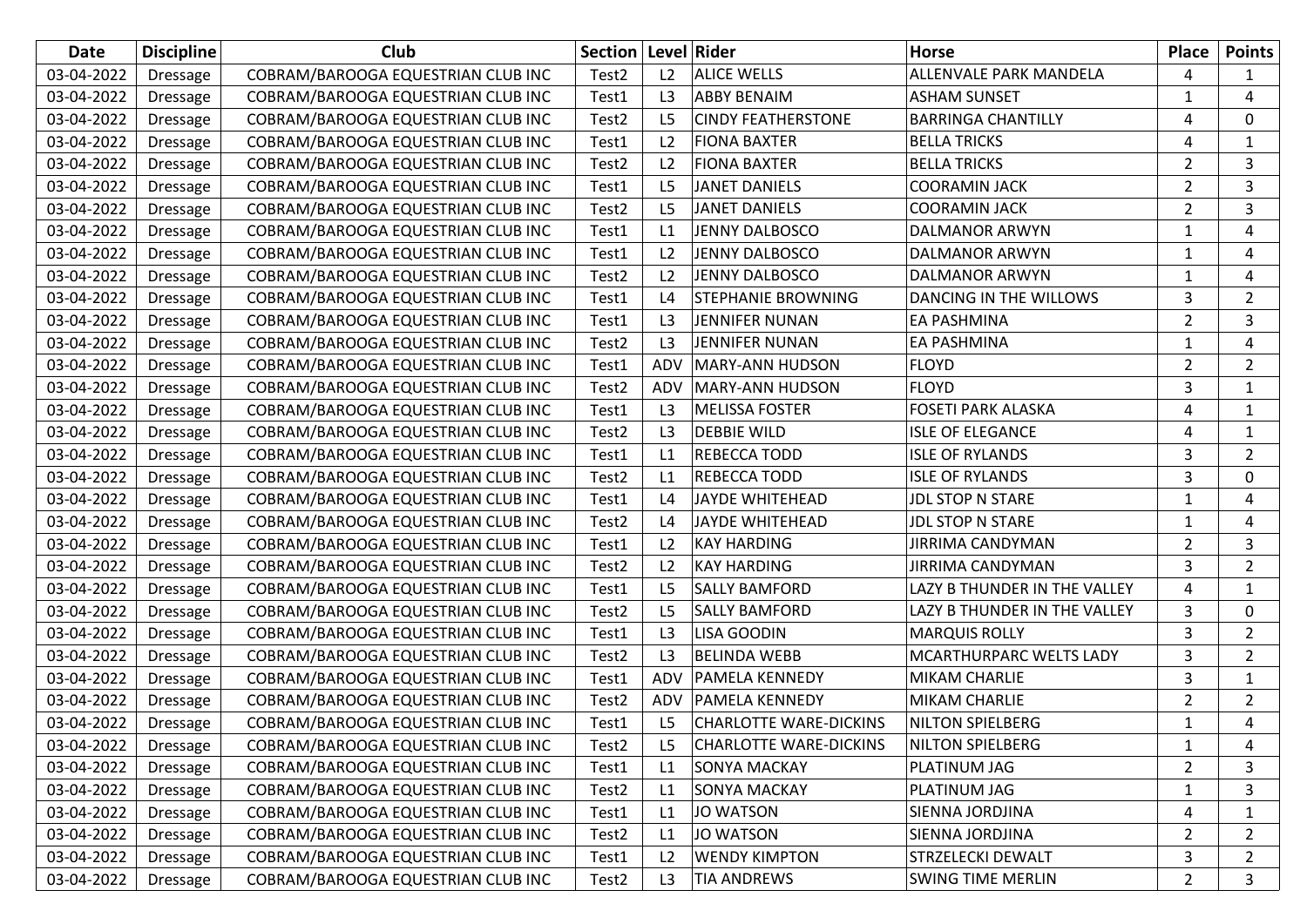| Date       | <b>Discipline</b> | Club                               | <b>Section   Level   Rider</b> |                |                               | <b>Horse</b>                 | Place          | <b>Points</b>  |
|------------|-------------------|------------------------------------|--------------------------------|----------------|-------------------------------|------------------------------|----------------|----------------|
| 03-04-2022 | <b>Dressage</b>   | COBRAM/BAROOGA EQUESTRIAN CLUB INC | Test <sub>2</sub>              | L2             | <b>ALICE WELLS</b>            | ALLENVALE PARK MANDELA       | 4              |                |
| 03-04-2022 | <b>Dressage</b>   | COBRAM/BAROOGA EQUESTRIAN CLUB INC | Test1                          | L <sub>3</sub> | <b>ABBY BENAIM</b>            | <b>ASHAM SUNSET</b>          | 1              | 4              |
| 03-04-2022 | <b>Dressage</b>   | COBRAM/BAROOGA EQUESTRIAN CLUB INC | Test <sub>2</sub>              | L <sub>5</sub> | <b>CINDY FEATHERSTONE</b>     | <b>BARRINGA CHANTILLY</b>    | 4              | 0              |
| 03-04-2022 | <b>Dressage</b>   | COBRAM/BAROOGA EQUESTRIAN CLUB INC | Test1                          | L <sub>2</sub> | <b>FIONA BAXTER</b>           | <b>BELLA TRICKS</b>          | 4              | 1              |
| 03-04-2022 | <b>Dressage</b>   | COBRAM/BAROOGA EQUESTRIAN CLUB INC | Test2                          | L2             | <b>FIONA BAXTER</b>           | <b>BELLA TRICKS</b>          | $\overline{2}$ | 3              |
| 03-04-2022 | <b>Dressage</b>   | COBRAM/BAROOGA EQUESTRIAN CLUB INC | Test1                          | L <sub>5</sub> | <b>JANET DANIELS</b>          | <b>COORAMIN JACK</b>         | $\overline{2}$ | 3              |
| 03-04-2022 | <b>Dressage</b>   | COBRAM/BAROOGA EQUESTRIAN CLUB INC | Test2                          | L <sub>5</sub> | <b>JANET DANIELS</b>          | <b>COORAMIN JACK</b>         | $\overline{2}$ | 3              |
| 03-04-2022 | Dressage          | COBRAM/BAROOGA EQUESTRIAN CLUB INC | Test1                          | L1             | <b>JENNY DALBOSCO</b>         | DALMANOR ARWYN               | 1              | 4              |
| 03-04-2022 | <b>Dressage</b>   | COBRAM/BAROOGA EQUESTRIAN CLUB INC | Test1                          | L <sub>2</sub> | <b>JENNY DALBOSCO</b>         | DALMANOR ARWYN               | 1              | 4              |
| 03-04-2022 | <b>Dressage</b>   | COBRAM/BAROOGA EQUESTRIAN CLUB INC | Test <sub>2</sub>              | L2             | <b>JENNY DALBOSCO</b>         | <b>DALMANOR ARWYN</b>        | 1              | 4              |
| 03-04-2022 | <b>Dressage</b>   | COBRAM/BAROOGA EQUESTRIAN CLUB INC | Test1                          | L4             | <b>STEPHANIE BROWNING</b>     | DANCING IN THE WILLOWS       | 3              | $\overline{2}$ |
| 03-04-2022 | <b>Dressage</b>   | COBRAM/BAROOGA EQUESTRIAN CLUB INC | Test1                          | L3             | JENNIFER NUNAN                | EA PASHMINA                  | 2              | 3              |
| 03-04-2022 | <b>Dressage</b>   | COBRAM/BAROOGA EQUESTRIAN CLUB INC | Test <sub>2</sub>              | L3             | <b>JENNIFER NUNAN</b>         | EA PASHMINA                  | 1              | 4              |
| 03-04-2022 | <b>Dressage</b>   | COBRAM/BAROOGA EQUESTRIAN CLUB INC | Test1                          | <b>ADV</b>     | <b>MARY-ANN HUDSON</b>        | <b>FLOYD</b>                 | $\overline{2}$ | $\overline{2}$ |
| 03-04-2022 | <b>Dressage</b>   | COBRAM/BAROOGA EQUESTRIAN CLUB INC | Test2                          | ADV            | <b>MARY-ANN HUDSON</b>        | <b>FLOYD</b>                 | 3              | 1              |
| 03-04-2022 | <b>Dressage</b>   | COBRAM/BAROOGA EQUESTRIAN CLUB INC | Test1                          | L3             | <b>MELISSA FOSTER</b>         | <b>FOSETI PARK ALASKA</b>    | 4              | 1              |
| 03-04-2022 | <b>Dressage</b>   | COBRAM/BAROOGA EQUESTRIAN CLUB INC | Test2                          | L3             | <b>DEBBIE WILD</b>            | <b>ISLE OF ELEGANCE</b>      | 4              | 1              |
| 03-04-2022 | Dressage          | COBRAM/BAROOGA EQUESTRIAN CLUB INC | Test1                          | L1             | <b>REBECCA TODD</b>           | <b>ISLE OF RYLANDS</b>       | 3              | 2              |
| 03-04-2022 | <b>Dressage</b>   | COBRAM/BAROOGA EQUESTRIAN CLUB INC | Test <sub>2</sub>              | L1             | REBECCA TODD                  | <b>ISLE OF RYLANDS</b>       | 3              | $\Omega$       |
| 03-04-2022 | <b>Dressage</b>   | COBRAM/BAROOGA EQUESTRIAN CLUB INC | Test1                          | L4             | <b>JAYDE WHITEHEAD</b>        | <b>JDL STOP N STARE</b>      | 1              | 4              |
| 03-04-2022 | <b>Dressage</b>   | COBRAM/BAROOGA EQUESTRIAN CLUB INC | Test <sub>2</sub>              | L4             | <b>JAYDE WHITEHEAD</b>        | <b>JDL STOP N STARE</b>      | 1              | 4              |
| 03-04-2022 | <b>Dressage</b>   | COBRAM/BAROOGA EQUESTRIAN CLUB INC | Test1                          | L2             | <b>KAY HARDING</b>            | <b>JIRRIMA CANDYMAN</b>      | 2              | 3              |
| 03-04-2022 | <b>Dressage</b>   | COBRAM/BAROOGA EQUESTRIAN CLUB INC | Test <sub>2</sub>              | L <sub>2</sub> | <b>KAY HARDING</b>            | <b>JIRRIMA CANDYMAN</b>      | 3              | 2              |
| 03-04-2022 | <b>Dressage</b>   | COBRAM/BAROOGA EQUESTRIAN CLUB INC | Test1                          | L <sub>5</sub> | <b>SALLY BAMFORD</b>          | LAZY B THUNDER IN THE VALLEY | 4              | 1              |
| 03-04-2022 | <b>Dressage</b>   | COBRAM/BAROOGA EQUESTRIAN CLUB INC | Test2                          | L <sub>5</sub> | <b>SALLY BAMFORD</b>          | LAZY B THUNDER IN THE VALLEY | 3              | 0              |
| 03-04-2022 | Dressage          | COBRAM/BAROOGA EQUESTRIAN CLUB INC | Test1                          | L3             | <b>LISA GOODIN</b>            | <b>MARQUIS ROLLY</b>         | 3              | 2              |
| 03-04-2022 | <b>Dressage</b>   | COBRAM/BAROOGA EQUESTRIAN CLUB INC | Test <sub>2</sub>              | L3             | <b>BELINDA WEBB</b>           | MCARTHURPARC WELTS LADY      | 3              | $\overline{2}$ |
| 03-04-2022 | <b>Dressage</b>   | COBRAM/BAROOGA EQUESTRIAN CLUB INC | Test1                          | ADV            | <b>PAMELA KENNEDY</b>         | <b>MIKAM CHARLIE</b>         | 3              | 1              |
| 03-04-2022 | <b>Dressage</b>   | COBRAM/BAROOGA EQUESTRIAN CLUB INC | Test <sub>2</sub>              | ADV            | <b>PAMELA KENNEDY</b>         | <b>MIKAM CHARLIE</b>         | $\overline{2}$ | $\overline{2}$ |
| 03-04-2022 | <b>Dressage</b>   | COBRAM/BAROOGA EQUESTRIAN CLUB INC | Test1                          | L <sub>5</sub> | <b>CHARLOTTE WARE-DICKINS</b> | <b>NILTON SPIELBERG</b>      | 1              | 4              |
| 03-04-2022 | Dressage          | COBRAM/BAROOGA EQUESTRIAN CLUB INC | Test <sub>2</sub>              | L5             | <b>CHARLOTTE WARE-DICKINS</b> | <b>NILTON SPIELBERG</b>      | 1              | 4              |
| 03-04-2022 | Dressage          | COBRAM/BAROOGA EQUESTRIAN CLUB INC | Test1                          | L1             | <b>SONYA MACKAY</b>           | PLATINUM JAG                 | $\overline{2}$ | 3              |
| 03-04-2022 | Dressage          | COBRAM/BAROOGA EQUESTRIAN CLUB INC | Test <sub>2</sub>              | L1             | <b>SONYA MACKAY</b>           | PLATINUM JAG                 | 1              | 3              |
| 03-04-2022 | Dressage          | COBRAM/BAROOGA EQUESTRIAN CLUB INC | Test1                          | L1             | <b>JO WATSON</b>              | SIENNA JORDJINA              | 4              | 1              |
| 03-04-2022 | Dressage          | COBRAM/BAROOGA EQUESTRIAN CLUB INC | Test <sub>2</sub>              | L1             | <b>JO WATSON</b>              | SIENNA JORDJINA              | $\overline{2}$ | 2              |
| 03-04-2022 | Dressage          | COBRAM/BAROOGA EQUESTRIAN CLUB INC | Test1                          | L2             | <b>WENDY KIMPTON</b>          | STRZELECKI DEWALT            | 3              | 2              |
| 03-04-2022 | <b>Dressage</b>   | COBRAM/BAROOGA EQUESTRIAN CLUB INC | Test <sub>2</sub>              | L3             | <b>TIA ANDREWS</b>            | <b>SWING TIME MERLIN</b>     | $\overline{2}$ | 3              |